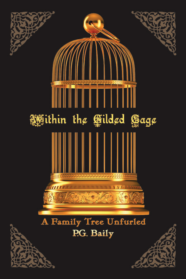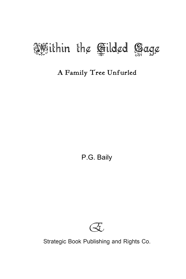

## A Family Tree Unfurled

P.G. Baily



Strategic Book Publishing and Rights Co.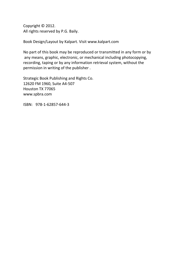Copyright © 2012. All rights reserved by P.G. Baily.

Book Design/Layout by Kalpart. Visit www.kalpart.com

No part of this book may be reproduced or transmitted in any form or by any means, graphic, electronic, or mechanical including photocopying, recording, taping or by any information retrieval system, without the permission in writing of the publisher .

Strategic Book Publishing and Rights Co. 12620 FM 1960, Suite A4-507 Houston TX 77065 www.spbra.com

ISBN: 978-1-62857-644-3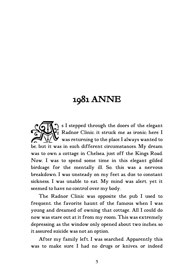# 1981 ANNE

s I stepped through the doors of the elegant Radnor Clinic, it struck me as ironic; here I  $\blacktriangleright$  was returning to the place I always wanted to Solar Supped through the doors of the elegant<br>
Radnor Clinic, it struck me as ironic; here I<br>
be, but it was in such different circumstances. My dream was to own a cottage in Chelsea, just off the Kings Road. Now, I was to spend some time in this elegant gilded birdcage for the mentally ill. So, this was a nervous breakdown. I was unsteady on my feet as, due to constant sickness, I was unable to eat. My mind was alert, yet it seemed to have no control over my body.

The Radnor Clinic was opposite the pub I used to frequent, the favorite haunt of the famous when I was young and dreamed of owning that cottage. All I could do now was stare out at it from my room. This was extremely depressing, as the window only opened about two inches, so it assured suicide was not an option.

After my family left, I was searched. Apparently this was to make sure I had no drugs or knives, or indeed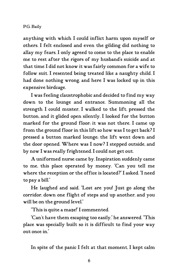## P.G. Baily

anything with which I could inflict harm upon myself or others. I felt enclosed and even the gilding did nothing to allay my fears. I only agreed to come to the place to enable me to rest after the rigors of my husband's suicide and at that time I did not know it was fairly common for a wife to follow suit. I resented being treated like a naughty child. I had done nothing wrong, and here I was locked up in this expensive birdcage.

I was feeling claustrophobic and decided to find my way down to the lounge and entrance. Summoning all the strength I could muster, I walked to the lift, pressed the button, and it glided open silently. I looked for the button marked for the ground floor; it was not there. I came up from the ground floor in this lift so how was I to get back? I pressed a button marked lounge; the lift went down and the door opened. Where was I now? I stepped outside, and by now I was really frightened. I could not get out.

A uniformed nurse came by. Inspiration suddenly came to me, this place operated by money. "Can you tell me where the reception or the office is located?" I asked. "I need to pay a bill."

He laughed and said, "Lost are you! Just go along the corridor, down one flight of steps and up another, and you will be on the ground level."

"This is quite a maze!" I commented.

"Can't have them escaping too easily," he answered. "This place was specially built so it is difficult to find your way out once in."

In spite of the panic I felt at that moment, I kept calm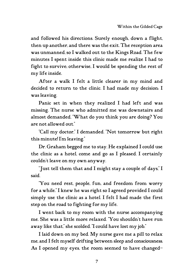and followed his directions. Surely enough, down a flight, then up another, and there was the exit. The reception area was unmanned, so I walked out to the Kings Road. The few minutes I spent inside this clinic made me realize I had to fight to survive; otherwise, I would be spending the rest of my life inside.

After a walk I felt a little clearer in my mind and decided to return to the clinic. I had made my decision: I was leaving.

Panic set in when they realized I had left and was missing. The nurse who admitted me was downstairs and almost demanded, "What do you think you are doing? You are not allowed out."

"Call my doctor," I demanded. "Not tomorrow but right this minute! I'm leaving."

Dr. Graham begged me to stay. He explained I could use the clinic as a hotel, come and go as I pleased. I certainly couldn't leave on my own anyway.

"Just tell them that and I might stay a couple of days," I said.

"You need rest, people, fun, and freedom from worry for a while." I knew he was right so I agreed provided I could simply use the clinic as a hotel. I felt I had made the first step on the road to fighting for my life.

I went back to my room with the nurse accompanying me. She was a little more relaxed. "You shouldn't have run away like that," she scolded. "I could have lost my job."

I laid down on my bed. My nurse gave me a pill to relax me, and I felt myself drifting between sleep and consciousness. As I opened my eyes, the room seemed to have changed–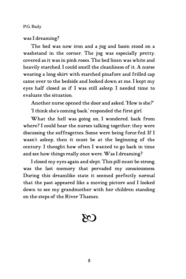#### P.G. Baily

## was I dreaming?

The bed was now iron and a jug and basin stood on a washstand in the corner. The jug was especially pretty, covered as it was in pink roses. The bed linen was white and heavily starched. I could smell the cleanliness of it. A nurse wearing a long skirt with starched pinafore and frilled cap came over to the bedside and looked down at me. I kept my eyes half closed as if I was still asleep. I needed time to evaluate the situation.

Another nurse opened the door and asked, "How is she?" "I think she's coming back," responded the first girl.

What the hell was going on, I wondered, back from where? I could hear the nurses talking together; they were discussing the suffragettes. Some were being force-fed. If I wasn't asleep, then it must be at the beginning of the century. I thought how often I wanted to go back in time and see how things really once were. Was I dreaming?

I closed my eyes again and slept. This pill must be strong, was the last memory that pervaded my consciousness. During this dreamlike state it seemed perfectly normal that the past appeared like a moving picture and I looked down to see my grandmother with her children standing on the steps of the River Thames.

# $\overline{\mathcal{C}}$